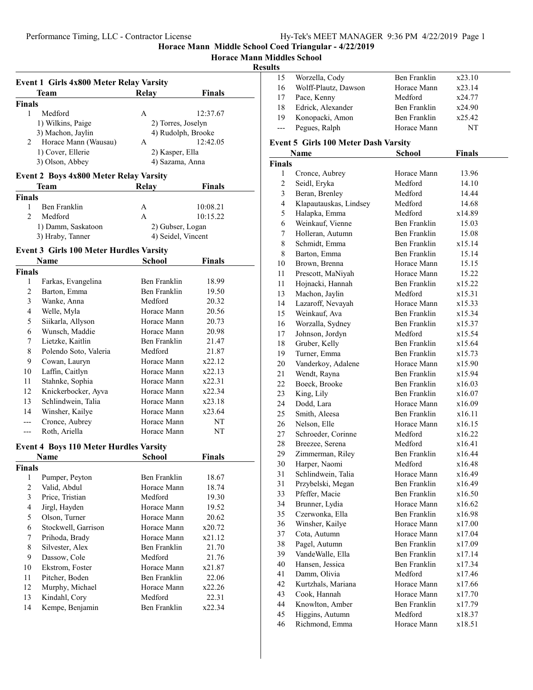## **Horace Mann Middles School**

## **Results**

|               | <b>Team</b>          | Relay | <b>Finals</b>      |
|---------------|----------------------|-------|--------------------|
| <b>Finals</b> |                      |       |                    |
|               | Medford              | A     | 12:37.67           |
|               | 1) Wilkins, Paige    |       | 2) Torres, Joselyn |
|               | 3) Machon, Jaylin    |       | 4) Rudolph, Brooke |
| 2             | Horace Mann (Wausau) | A     | 12:42.05           |
|               | 1) Cover, Ellerie    |       | 2) Kasper, Ella    |
|               | 3) Olson, Abbey      |       | 4) Sazama, Anna    |

## **Event 2 Boys 4x800 Meter Relay Varsity**

| Team                                   |              | Relay | <b>Finals</b>      |
|----------------------------------------|--------------|-------|--------------------|
| <b>Finals</b>                          |              |       |                    |
|                                        | Ben Franklin | A     | 10:08.21           |
|                                        | Medford      | А     | 10:15.22           |
| 1) Damm, Saskatoon<br>3) Hraby, Tanner |              |       | 2) Gubser, Logan   |
|                                        |              |       | 4) Seidel, Vincent |

## **Event 3 Girls 100 Meter Hurdles Varsity**

| Name          |                       | School       | Finals |  |
|---------------|-----------------------|--------------|--------|--|
| <b>Finals</b> |                       |              |        |  |
| 1             | Farkas, Evangelina    | Ben Franklin | 18.99  |  |
| 2             | Barton, Emma          | Ben Franklin | 19.50  |  |
| 3             | Wanke, Anna           | Medford      | 20.32  |  |
| 4             | Welle, Myla           | Horace Mann  | 20.56  |  |
| 5             | Siikarla, Allyson     | Horace Mann  | 20.73  |  |
| 6             | Wunsch, Maddie        | Horace Mann  | 20.98  |  |
| 7             | Lietzke, Kaitlin      | Ben Franklin | 21.47  |  |
| 8             | Polendo Soto, Valeria | Medford      | 21.87  |  |
| 9             | Cowan, Lauryn         | Horace Mann  | x22.12 |  |
| 10            | Laffin, Caitlyn       | Horace Mann  | x22.13 |  |
| 11            | Stahnke, Sophia       | Horace Mann  | x22.31 |  |
| 12            | Knickerbocker, Ayva   | Horace Mann  | x22.34 |  |
| 13            | Schlindwein, Talia    | Horace Mann  | x23.18 |  |
| 14            | Winsher, Kailye       | Horace Mann  | x23.64 |  |
|               | Cronce, Aubrey        | Horace Mann  | NT     |  |
| ---           | Roth, Ariella         | Horace Mann  | NT     |  |

## **Event 4 Boys 110 Meter Hurdles Varsity**

| Name   |                     | School       | Finals |  |
|--------|---------------------|--------------|--------|--|
| Finals |                     |              |        |  |
| 1      | Pumper, Peyton      | Ben Franklin | 18.67  |  |
| 2      | Valid, Abdul        | Horace Mann  | 18.74  |  |
| 3      | Price, Tristian     | Medford      | 19.30  |  |
| 4      | Jirgl, Hayden       | Horace Mann  | 19.52  |  |
| 5      | Olson, Turner       | Horace Mann  | 20.62  |  |
| 6      | Stockwell, Garrison | Horace Mann  | x20.72 |  |
| 7      | Prihoda, Brady      | Horace Mann  | x21.12 |  |
| 8      | Silvester, Alex     | Ben Franklin | 21.70  |  |
| 9      | Dassow, Cole        | Medford      | 21.76  |  |
| 10     | Ekstrom, Foster     | Horace Mann  | x21.87 |  |
| 11     | Pitcher, Boden      | Ben Franklin | 22.06  |  |
| 12     | Murphy, Michael     | Horace Mann  | x22.26 |  |
| 13     | Kindahl, Cory       | Medford      | 22.31  |  |
| 14     | Kempe, Benjamin     | Ben Franklin | x22.34 |  |
|        |                     |              |        |  |

| 15    | Worzella, Cody       | Ben Franklin | x23.10 |
|-------|----------------------|--------------|--------|
| 16    | Wolff-Plautz, Dawson | Horace Mann  | x23.14 |
| 17    | Pace, Kenny          | Medford      | x24.77 |
| 18    | Edrick, Alexander    | Ben Franklin | x24.90 |
| 19    | Konopacki, Amon      | Ben Franklin | x25.42 |
| $---$ | Pegues, Ralph        | Horace Mann  | NT     |

## **Event 5 Girls 100 Meter Dash Varsity**

|               | <b>Name</b>            | <b>School</b>       | <b>Finals</b> |  |
|---------------|------------------------|---------------------|---------------|--|
| <b>Finals</b> |                        |                     |               |  |
| 1             | Cronce, Aubrey         | Horace Mann         | 13.96         |  |
| 2             | Seidl, Eryka           | Medford             | 14.10         |  |
| 3             | Beran, Brenley         | Medford             | 14.44         |  |
| 4             | Klapautauskas, Lindsey | Medford             | 14.68         |  |
| 5             | Halapka, Emma          | Medford             | x14.89        |  |
| 6             | Weinkauf, Vienne       | Ben Franklin        | 15.03         |  |
| 7             | Holleran, Autumn       | Ben Franklin        | 15.08         |  |
| 8             | Schmidt, Emma          | Ben Franklin        | x15.14        |  |
| 8             | Barton, Emma           | Ben Franklin        | 15.14         |  |
| 10            | Brown, Brenna          | Horace Mann         | 15.15         |  |
| 11            | Prescott, MaNiyah      | Horace Mann         | 15.22         |  |
| 11            | Hojnacki, Hannah       | Ben Franklin        | x15.22        |  |
| 13            | Machon, Jaylin         | Medford             | x15.31        |  |
| 14            | Lazaroff, Nevayah      | Horace Mann         | x15.33        |  |
| 15            | Weinkauf, Ava          | Ben Franklin        | x15.34        |  |
| 16            | Worzalla, Sydney       | Ben Franklin        | x15.37        |  |
| 17            | Johnson, Jordyn        | Medford             | x15.54        |  |
| 18            | Gruber, Kelly          | Ben Franklin        | x15.64        |  |
| 19            | Turner, Emma           | Ben Franklin        | x15.73        |  |
| 20            | Vanderkoy, Adalene     | Horace Mann         | x15.90        |  |
| 21            | Wendt, Rayna           | Ben Franklin        | x15.94        |  |
| 22            | Boeck, Brooke          | Ben Franklin        | x16.03        |  |
| 23            | King, Lily             | Ben Franklin        | x16.07        |  |
| 24            | Dodd, Lara             | Horace Mann         | x16.09        |  |
| 25            | Smith, Aleesa          | Ben Franklin        | x16.11        |  |
| 26            | Nelson, Elle           | Horace Mann         | x16.15        |  |
| 27            | Schroeder, Corinne     | Medford             | x16.22        |  |
| 28            | Breezee, Serena        | Medford             | x16.41        |  |
| 29            | Zimmerman, Riley       | Ben Franklin        | x16.44        |  |
| 30            | Harper, Naomi          | Medford             | x16.48        |  |
| 31            | Schlindwein, Talia     | Horace Mann         | x16.49        |  |
| 31            | Przybelski, Megan      | Ben Franklin        | x16.49        |  |
| 33            | Pfeffer, Macie         | Ben Franklin        | x16.50        |  |
| 34            | Brunner, Lydia         | Horace Mann         | x16.62        |  |
| 35            | Czerwonka, Ella        | Ben Franklin        | x16.98        |  |
| 36            | Winsher, Kailye        | Horace Mann         | x17.00        |  |
| 37            | Cota, Autumn           | Horace Mann         | x17.04        |  |
| 38            | Pagel, Autumn          | <b>Ben Franklin</b> | x17.09        |  |
| 39            | Vande Walle, Ella      | Ben Franklin        | x17.14        |  |
| 40            | Hansen, Jessica        | Ben Franklin        | x17.34        |  |
| 41            | Damm, Olivia           | Medford             | x17.46        |  |
| 42            | Kurtzhals, Mariana     | Horace Mann         | x17.66        |  |
| 43            | Cook, Hannah           | Horace Mann         | x17.70        |  |
| 44            | Knowlton, Amber        | Ben Franklin        | x17.79        |  |
| 45            | Higgins, Autumn        | Medford             | x18.37        |  |
| 46            | Richmond, Emma         | Horace Mann         | x18.51        |  |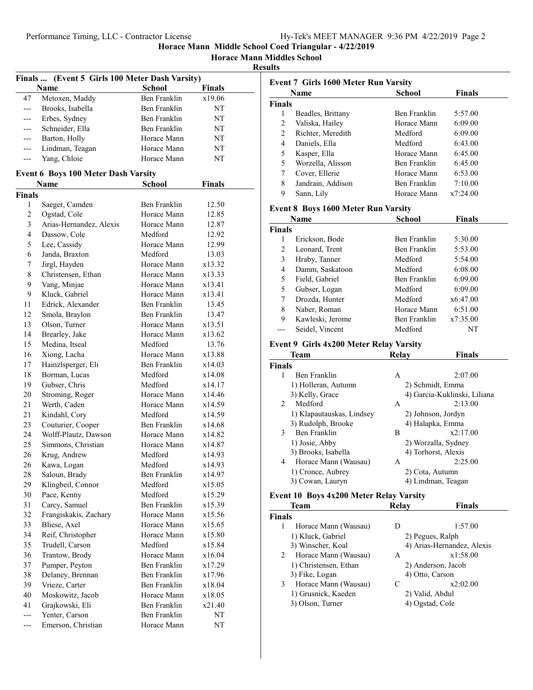**Horace Mann Middles School**

## **Results**

|               | Finals  (Event 5 Girls 100 Meter Dash Varsity) |                     |        |
|---------------|------------------------------------------------|---------------------|--------|
|               | <b>Name</b>                                    | School              | Finals |
| 47            | Metoxen, Maddy                                 | <b>Ben Franklin</b> | x19.06 |
| ---           | Brooks, Isabella                               | Ben Franklin        | NT     |
| ---           | Erbes, Sydney                                  | Ben Franklin        | NT     |
| ---           | Schneider, Ella                                | Ben Franklin        | NT     |
| ---           | Barton, Holly                                  | Horace Mann         | NT     |
| ---           | Lindman, Teagan                                | Horace Mann         | NT     |
| ---           | Yang, Chloie                                   | Horace Mann         | NT     |
|               |                                                |                     |        |
|               | <b>Event 6 Boys 100 Meter Dash Varsity</b>     |                     |        |
|               | Name                                           | <b>School</b>       | Finals |
| <b>Finals</b> |                                                |                     |        |
| 1             | Saeger, Camden                                 | Ben Franklin        | 12.50  |
| 2             | Ogstad, Cole                                   | Horace Mann         | 12.85  |
| 3             | Arias-Hernandez, Alexis                        | Horace Mann         | 12.87  |
| 4             | Dassow, Cole                                   | Medford             | 12.92  |
| 5             | Lee, Cassidy                                   | Horace Mann         | 12.99  |
| 6             | Janda, Braxton                                 | Medford             | 13.03  |
| 7             | Jirgl, Hayden                                  | Horace Mann         | x13.32 |
| 8             | Christensen, Ethan                             | Horace Mann         | x13.33 |
| 9             | Vang, Minjae                                   | Horace Mann         | x13.41 |
| 9             | Kluck, Gabriel                                 | Horace Mann         | x13.41 |
| 11            | Edrick, Alexander                              | Ben Franklin        | 13.45  |
| 12            | Smola, Braylon                                 | Ben Franklin        | 13.47  |
| 13            | Olson, Turner                                  | Horace Mann         | x13.51 |
| 14            | Brearley, Jake                                 | Horace Mann         | x13.62 |
| 15            | Medina, Itseal                                 | Medford             | 13.76  |
| 16            | Xiong, Lacha                                   | Horace Mann         | x13.88 |
| 17            | Hainzlsperger, Eli                             | Ben Franklin        | x14.03 |
| 18            | Borman, Lucas                                  | Medford             | x14.08 |
| 19            | Gubser, Chris                                  | Medford             | x14.17 |
| 20            | Stroming, Roger                                | Horace Mann         | x14.46 |
| 21            | Werth, Caden                                   | Horace Mann         | x14.59 |
| 21            | Kindahl, Cory                                  | Medford             | x14.59 |
| 23            | Couturier, Cooper                              | Ben Franklin        | x14.68 |
| 24            | Wolff-Plautz, Dawson                           | Horace Mann         | x14.82 |
| 25            | Simmons, Christian                             | Horace Mann         | x14.87 |
| 26            | Krug, Andrew                                   | Medford             | x14.93 |
| 26            | Kawa, Logan                                    | Medford             | x14.93 |
| 28            | Saloun, Brady                                  | Ben Franklin        | x14.97 |
| 29            | Klingbeil, Connor                              | Medford             | x15.05 |
| 30            | Pace, Kenny                                    | Medford             | x15.29 |
| 31            | Carcy, Samuel                                  | Ben Franklin        | x15.39 |
| 32            | Frangiskakis, Zachary                          | Horace Mann         | x15.56 |
| 33            | Bliese, Axel                                   | Horace Mann         | x15.65 |
| 34            | Reif, Christopher                              | Horace Mann         | x15.80 |
| 35            | Trudell, Carson                                | Medford             | x15.84 |
| 36            | Trantow, Brody                                 | Horace Mann         | x16.04 |
| 37            | Pumper, Peyton                                 | Ben Franklin        | x17.29 |
| 38            | Delaney, Brennan                               | <b>Ben Franklin</b> | x17.96 |
| 39            | Vrieze, Carter                                 | Ben Franklin        | x18.04 |
| 40            | Moskowitz, Jacob                               | Horace Mann         | x18.05 |
| 41            | Grajkowski, Eli                                | Ben Franklin        | x21.40 |
| ---           | Yenter, Carson                                 | Ben Franklin        | NT     |
| ---           | Emerson, Christian                             | Horace Mann         | NT     |
|               |                                                |                     |        |

|                | <b>Event 7 Girls 1600 Meter Run Varsity</b> |                     |                              |
|----------------|---------------------------------------------|---------------------|------------------------------|
|                | Name                                        | School              | <b>Finals</b>                |
| <b>Finals</b>  |                                             |                     |                              |
| 1              | Beadles, Brittany                           | Ben Franklin        | 5:57.00                      |
| 2              | Valiska, Hailey                             | Horace Mann         | 6:09.00                      |
| $\overline{c}$ | Richter, Meredith                           | Medford             | 6:09.00                      |
| 4              | Daniels, Ella                               | Medford             | 6:43.00                      |
| 5              | Kasper, Ella                                | Horace Mann         | 6:45.00                      |
| 5              | Worzella, Alisson                           | Ben Franklin        | 6:45.00                      |
| $\tau$         | Cover, Ellerie                              | Horace Mann         | 6:53.00                      |
| 8              | Jandrain, Addison                           | Ben Franklin        | 7:10.00                      |
| 9              | Sann, Lily                                  | Horace Mann         | x7:24.00                     |
|                | <b>Event 8 Boys 1600 Meter Run Varsity</b>  |                     |                              |
|                | <b>Name</b>                                 | <b>School</b>       | Finals                       |
| <b>Finals</b>  |                                             |                     |                              |
| 1              | Erickson, Bode                              | Ben Franklin        | 5:30.00                      |
| 2              | Leonard, Trent                              | Ben Franklin        | 5:53.00                      |
| 3              | Hraby, Tanner                               | Medford             | 5:54.00                      |
| 4              | Damm, Saskatoon                             | Medford             | 6:08.00                      |
| 5              | Field, Gabriel                              | Ben Franklin        | 6:09.00                      |
| 5              | Gubser, Logan                               | Medford             | 6:09.00                      |
| 7              | Drozda, Hunter                              | Medford             | x6:47.00                     |
| 8              | Naber, Roman                                | Horace Mann         | 6:51.00                      |
| 9              | Kawleski, Jerome                            | Ben Franklin        | x7:35.00                     |
| ---            | Seidel, Vincent                             | Medford             | NT                           |
|                | Event 9 Girls 4x200 Meter Relay Varsity     |                     |                              |
|                | Team                                        | <b>Relay</b>        | Finals                       |
| <b>Finals</b>  |                                             |                     |                              |
| 1              | Ben Franklin                                | A                   | 2:07.00                      |
|                | 1) Holleran, Autumn                         | 2) Schmidt, Emma    |                              |
|                | 3) Kelly, Grace                             |                     | 4) Garcia-Kuklinski, Liliana |
| 2              | Medford                                     | A                   | 2:13.00                      |
|                | 1) Klapautauskas, Lindsey                   | 2) Johnson, Jordyn  |                              |
|                | 3) Rudolph, Brooke                          | 4) Halapka, Emma    |                              |
| 3              | Ben Franklin                                | Β                   | x2:17.00                     |
|                | 1) Josie, Abby                              | 2) Worzalla, Sydney |                              |
|                | 3) Brooks, Isabella                         | 4) Torhorst, Alexis |                              |
| 4              | Horace Mann (Wausau)                        | Α                   | 2:25.00                      |
|                | 1) Cronce, Aubrey                           | 2) Cota, Autumn     |                              |
|                | 3) Cowan, Lauryn                            | 4) Lindman, Teagan  |                              |
|                | Event 10 Boys 4x200 Meter Relay Varsity     |                     |                              |
|                | Team                                        | <b>Relay</b>        | Finals                       |
| <b>Finals</b>  |                                             |                     |                              |
| 1              | Horace Mann (Wausau)                        | D                   | 1:57.00                      |
|                | 1) Kluck Gabriel                            | 2) Peques, Ralph    |                              |

|   | 1) Kluck, Gabriel     |   | 2) Pegues, Ralph           |
|---|-----------------------|---|----------------------------|
|   | 3) Winscher, Koal     |   | 4) Arias-Hernandez, Alexis |
| 2 | Horace Mann (Wausau)  | A | x1:58.00                   |
|   | 1) Christensen, Ethan |   | 2) Anderson, Jacob         |
|   | 3) Fike, Logan        |   | 4) Otto, Carson            |
|   | Horace Mann (Wausau)  |   | x2:02.00                   |
|   | 1) Grusnick, Kaeden   |   | 2) Valid, Abdul            |
|   | 3) Olson, Turner      |   | 4) Ogstad, Cole            |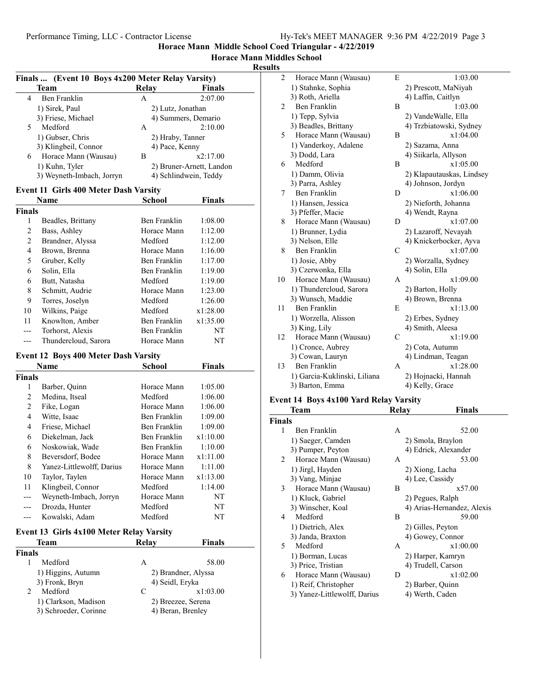## **Horace Mann Middles School**

## **Results**

|   | Finals  (Event 10 Boys 4x200 Meter Relay Varsity) |       |                          |
|---|---------------------------------------------------|-------|--------------------------|
|   | <b>Team</b>                                       | Relay | <b>Finals</b>            |
| 4 | Ben Franklin                                      | Α     | 2:07.00                  |
|   | 1) Sirek, Paul                                    |       | 2) Lutz, Jonathan        |
|   | 3) Friese, Michael                                |       | 4) Summers, Demario      |
| 5 | Medford                                           | А     | 2:10.00                  |
|   | 1) Gubser, Chris                                  |       | 2) Hraby, Tanner         |
|   | 3) Klingbeil, Connor                              |       | 4) Pace, Kenny           |
| 6 | Horace Mann (Wausau)                              | В     | x2:17.00                 |
|   | 1) Kuhn, Tyler                                    |       | 2) Bruner-Arnett, Landon |
|   | 3) Weyneth-Imbach, Jorryn                         |       | 4) Schlindwein, Teddy    |

## **Event 11 Girls 400 Meter Dash Varsity**

| Name          |                      | School       | Finals   |  |
|---------------|----------------------|--------------|----------|--|
| <b>Finals</b> |                      |              |          |  |
| 1             | Beadles, Brittany    | Ben Franklin | 1:08.00  |  |
| 2             | Bass, Ashley         | Horace Mann  | 1:12.00  |  |
| 2             | Brandner, Alyssa     | Medford      | 1:12.00  |  |
| 4             | Brown, Brenna        | Horace Mann  | 1:16.00  |  |
| 5             | Gruber, Kelly        | Ben Franklin | 1:17.00  |  |
| 6             | Solin, Ella          | Ben Franklin | 1:19.00  |  |
| 6             | Butt, Natasha        | Medford      | 1:19.00  |  |
| 8             | Schmitt, Audrie      | Horace Mann  | 1:23.00  |  |
| 9             | Torres, Joselyn      | Medford      | 1:26.00  |  |
| 10            | Wilkins, Paige       | Medford      | x1:28.00 |  |
| 11            | Knowlton, Amber      | Ben Franklin | x1:35.00 |  |
| ---           | Torhorst, Alexis     | Ben Franklin | NT       |  |
|               | Thundercloud, Sarora | Horace Mann  | NT       |  |

## **Event 12 Boys 400 Meter Dash Varsity**

|                | Name                                            | School<br>Finals    |          |  |
|----------------|-------------------------------------------------|---------------------|----------|--|
| Finals         |                                                 |                     |          |  |
| 1              | Barber, Quinn                                   | Horace Mann         | 1:05.00  |  |
| $\mathfrak{D}$ | Medina, Itseal                                  | Medford             | 1:06.00  |  |
| 2              | Fike, Logan                                     | Horace Mann         | 1:06.00  |  |
| 4              | Witte, Isaac                                    | Ben Franklin        | 1:09.00  |  |
| 4              | Friese, Michael                                 | Ben Franklin        | 1:09.00  |  |
| 6              | Diekelman, Jack                                 | Ben Franklin        | x1:10.00 |  |
| 6              | Noskowiak, Wade                                 | Ben Franklin        | 1:10.00  |  |
| 8              | Beversdorf, Bodee                               | Horace Mann         | x1:11.00 |  |
| 8              | Yanez-Littlewolff, Darius                       | Horace Mann         | 1:11.00  |  |
| 10             | Taylor, Taylen                                  | Horace Mann         | x1:13.00 |  |
| 11             | Klingbeil, Connor                               | Medford             | 1:14.00  |  |
|                | Weyneth-Imbach, Jorryn                          | Horace Mann         | NT       |  |
|                | Drozda, Hunter                                  | Medford             | NT       |  |
|                | Kowalski, Adam                                  | Medford             | NT       |  |
|                | <b>Event 13 Girls 4x100 Meter Relay Varsity</b> |                     |          |  |
| Team           |                                                 | Relay               | Finals   |  |
| Finals         |                                                 |                     |          |  |
| 1              | Medford                                         | A                   | 58.00    |  |
|                | 1) Higgins, Autumn                              | 2) Brandner, Alyssa |          |  |

| 3) Fronk, Bryn        |  | 4) Seidl, Eryka    |
|-----------------------|--|--------------------|
| Medford               |  | x1:03.00           |
| 1) Clarkson, Madison  |  | 2) Breezee, Serena |
| 3) Schroeder, Corinne |  | 4) Beran, Brenley  |

| 2  | Horace Mann (Wausau)         | E             | 1:03.00                   |
|----|------------------------------|---------------|---------------------------|
|    | 1) Stahnke, Sophia           |               | 2) Prescott, MaNiyah      |
|    | 3) Roth, Ariella             |               | 4) Laffin, Caitlyn        |
| 2  | <b>Ben Franklin</b>          | B             | 1:03.00                   |
|    | 1) Tepp, Sylvia              |               | 2) VandeWalle, Ella       |
|    | 3) Beadles, Brittany         |               | 4) Trzbiatowski, Sydney   |
| 5  | Horace Mann (Wausau)         | B             | x1:04.00                  |
|    | 1) Vanderkoy, Adalene        |               | 2) Sazama, Anna           |
|    | 3) Dodd, Lara                |               | 4) Siikarla, Allyson      |
| 6  | Medford                      | B             | x1:05.00                  |
|    | 1) Damm, Olivia              |               | 2) Klapautauskas, Lindsey |
|    | 3) Parra, Ashley             |               | 4) Johnson, Jordyn        |
| 7  | Ben Franklin                 | D             | x1:06.00                  |
|    | 1) Hansen, Jessica           |               | 2) Nieforth, Johanna      |
|    | 3) Pfeffer, Macie            |               | 4) Wendt, Rayna           |
| 8  | Horace Mann (Wausau)         | D             | x1:07.00                  |
|    | 1) Brunner, Lydia            |               | 2) Lazaroff, Nevayah      |
|    | 3) Nelson, Elle              |               | 4) Knickerbocker, Ayva    |
| 8  | <b>Ben Franklin</b>          | C             | x1:07.00                  |
|    | 1) Josie, Abby               |               | 2) Worzalla, Sydney       |
|    | 3) Czerwonka, Ella           |               | 4) Solin, Ella            |
| 10 | Horace Mann (Wausau)         | A             | x1:09.00                  |
|    | 1) Thundercloud, Sarora      |               | 2) Barton, Holly          |
|    | 3) Wunsch, Maddie            |               | 4) Brown, Brenna          |
| 11 | <b>Ben Franklin</b>          | E             | x1:13.00                  |
|    | 1) Worzella, Alisson         |               | 2) Erbes, Sydney          |
|    | 3) King, Lily                |               | 4) Smith, Aleesa          |
| 12 | Horace Mann (Wausau)         | $\mathcal{C}$ | x1:19.00                  |
|    | 1) Cronce, Aubrey            |               | 2) Cota, Autumn           |
|    | 3) Cowan, Lauryn             |               | 4) Lindman, Teagan        |
| 13 | Ben Franklin                 | A             | x1:28.00                  |
|    | 1) Garcia-Kuklinski, Liliana |               | 2) Hojnacki, Hannah       |
|    | 3) Barton, Emma              |               | 4) Kelly, Grace           |
|    |                              |               |                           |

# **Event 14 Boys 4x100 Yard Relay Varsity**

|                | Team                         | Relay | Finals                     |
|----------------|------------------------------|-------|----------------------------|
| <b>Finals</b>  |                              |       |                            |
| 1              | Ben Franklin                 | А     | 52.00                      |
|                | 1) Saeger, Camden            |       | 2) Smola, Braylon          |
|                | 3) Pumper, Peyton            |       | 4) Edrick, Alexander       |
| $\overline{2}$ | Horace Mann (Wausau)         | А     | 53.00                      |
|                | 1) Jirgl, Hayden             |       | 2) Xiong, Lacha            |
|                | 3) Vang, Minjae              |       | 4) Lee, Cassidy            |
| 3              | Horace Mann (Wausau)         | B     | x57.00                     |
|                | 1) Kluck, Gabriel            |       | 2) Pegues, Ralph           |
|                | 3) Winscher, Koal            |       | 4) Arias-Hernandez, Alexis |
| 4              | Medford                      | B     | 59.00                      |
|                | 1) Dietrich, Alex            |       | 2) Gilles, Peyton          |
|                | 3) Janda, Braxton            |       | 4) Gowey, Connor           |
| 5.             | Medford                      | A     | x1:00.00                   |
|                | 1) Borman, Lucas             |       | 2) Harper, Kamryn          |
|                | 3) Price, Tristian           |       | 4) Trudell, Carson         |
| 6              | Horace Mann (Wausau)         | D     | x1:02.00                   |
|                | 1) Reif, Christopher         |       | 2) Barber, Quinn           |
|                | 3) Yanez-Littlewolff, Darius |       | 4) Werth, Caden            |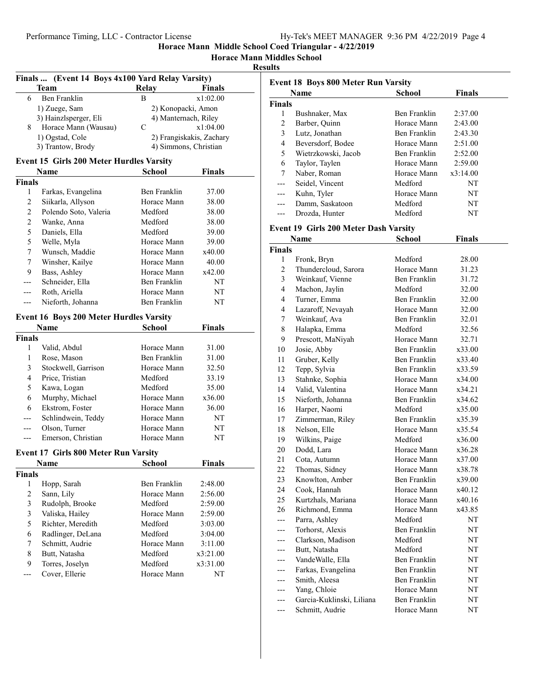#### **Horace Mann Middles School**

#### **Results**

|                | Finals  (Event 14 Boys 4x100 Yard Relay Varsity) |                      |                          |  |
|----------------|--------------------------------------------------|----------------------|--------------------------|--|
|                | Team                                             | <b>Relay</b>         | Finals                   |  |
| 6              | <b>Ben Franklin</b>                              | В                    | x1:02.00                 |  |
|                | 1) Zuege, Sam                                    | 2) Konopacki, Amon   |                          |  |
|                | 3) Hainzlsperger, Eli                            | 4) Manternach, Riley |                          |  |
| 8              | Horace Mann (Wausau)                             | C                    | x1:04.00                 |  |
|                | 1) Ogstad, Cole                                  |                      | 2) Frangiskakis, Zachary |  |
|                | 3) Trantow, Brody                                |                      | 4) Simmons, Christian    |  |
|                | <b>Event 15 Girls 200 Meter Hurdles Varsity</b>  |                      |                          |  |
|                | Name                                             | School               | Finals                   |  |
| <b>Finals</b>  |                                                  |                      |                          |  |
| 1              | Farkas, Evangelina                               | Ben Franklin         | 37.00                    |  |
| 2              | Siikarla, Allyson                                | Horace Mann          | 38.00                    |  |
| $\overline{2}$ | Polendo Soto, Valeria                            | Medford              | 38.00                    |  |
| 2              | Wanke, Anna                                      | Medford              | 38.00                    |  |
| 5              | Daniels, Ella                                    | Medford              | 39.00                    |  |
| 5              | Welle, Myla                                      | Horace Mann          | 39.00                    |  |
| 7              | Wunsch, Maddie                                   | Horace Mann          | x40.00                   |  |
| 7              | Winsher, Kailye                                  | Horace Mann          | 40.00                    |  |
| 9              | Bass, Ashley                                     | Horace Mann          | x42.00                   |  |
| ---            | Schneider, Ella                                  | Ben Franklin         | NT                       |  |
| ---            | Roth, Ariella                                    | Horace Mann          | NT                       |  |
| ---            | Nieforth, Johanna                                | Ben Franklin         | NΤ                       |  |
|                | <b>Event 16 Boys 200 Meter Hurdles Varsity</b>   |                      |                          |  |
|                | Name                                             | <b>School</b>        | <b>Finals</b>            |  |
| <b>Finals</b>  |                                                  |                      |                          |  |
| 1              | Valid, Abdul                                     | Horace Mann          | 31.00                    |  |
| 1              | Rose, Mason                                      | Ben Franklin         | 31.00                    |  |
| 3              | Stockwell, Garrison                              | Horace Mann          | 32.50                    |  |
| 4              | Price, Tristian                                  | Medford              | 33.19                    |  |
| 5              | Kawa, Logan                                      | Medford              | 35.00                    |  |
| 6              | Murphy, Michael                                  | Horace Mann          | x36.00                   |  |
| 6              | Ekstrom, Foster                                  | Horace Mann          | 36.00                    |  |
| ---            | Schlindwein, Teddy                               | Horace Mann          | NT                       |  |
| ---            | Olson, Turner                                    | Horace Mann          | NT                       |  |
| ---            | Emerson, Christian                               | Horace Mann          | NΤ                       |  |
|                |                                                  |                      |                          |  |
|                | <b>Event 17 Girls 800 Meter Run Varsity</b>      |                      |                          |  |
|                | Name                                             | School               | <b>Finals</b>            |  |
| <b>Finals</b>  |                                                  |                      |                          |  |
| 1              | Hopp, Sarah                                      | Ben Franklin         | 2:48.00                  |  |
| $\overline{c}$ | Sann, Lily                                       | Horace Mann          | 2:56.00                  |  |
| 3              | Rudolph, Brooke                                  | Medford              | 2:59.00                  |  |
| 3              | Valiska, Hailey                                  | Horace Mann          | 2:59.00                  |  |
| 5              | Richter, Meredith                                | Medford              | 3:03.00                  |  |
| 6              | Radlinger, DeLana                                | Medford              | 3:04.00                  |  |
| 7              | Schmitt, Audrie                                  | Horace Mann          | 3:11.00                  |  |
| 8              | Butt, Natasha                                    | Medford              | x3:21.00                 |  |
| 9              | Torres, Joselyn                                  | Medford              | x3:31.00                 |  |
| ---            | Cover, Ellerie                                   | Horace Mann          | NT                       |  |
|                |                                                  |                      |                          |  |

|               | <b>Event 18 Boys 800 Meter Run Varsity</b> |              |               |
|---------------|--------------------------------------------|--------------|---------------|
|               | Name                                       | School       | <b>Finals</b> |
| <b>Finals</b> |                                            |              |               |
| 1             | Bushnaker, Max                             | Ben Franklin | 2:37.00       |
| 2             | Barber, Quinn                              | Horace Mann  | 2:43.00       |
| 3             | Lutz, Jonathan                             | Ben Franklin | 2:43.30       |
| 4             | Beversdorf, Bodee                          | Horace Mann  | 2:51.00       |
| 5             | Wietrzkowski, Jacob                        | Ben Franklin | 2:52.00       |
| 6             | Taylor, Taylen                             | Horace Mann  | 2:59.00       |
| 7             | Naber, Roman                               | Horace Mann  | x3:14.00      |
| ---           | Seidel, Vincent                            | Medford      | NT            |
|               | Kuhn, Tyler                                | Horace Mann  | NT            |
|               | Damm, Saskatoon                            | Medford      | NT            |
|               | Drozda, Hunter                             | Medford      | NT            |
|               | Event 19 Girls 200 Meter Dash Varsity      |              |               |
|               | Name                                       | School       | <b>Finals</b> |
| <b>Finals</b> |                                            |              |               |
| 1             | Fronk, Bryn                                | Medford      | 28.00         |
| 2             | Thundercloud, Sarora                       | Horace Mann  | 31.23         |
| 3             | Weinkauf, Vienne                           | Ben Franklin | 31.72         |
| 4             | Machon, Jaylin                             | Medford      | 32.00         |

4 Turner, Emma Ben Franklin 32.00 4 Lazaroff, Nevayah Horace Mann 32.00 7 Weinkauf, Ava Ben Franklin 32.01 8 Halapka, Emma Medford 32.56 9 Prescott, MaNiyah Horace Mann 32.71 10 Josie, Abby Ben Franklin x33.00 11 Gruber, Kelly Ben Franklin x33.40 12 Tepp, Sylvia Ben Franklin x33.59 13 Stahnke, Sophia Horace Mann x34.00 14 Valid, Valentina Horace Mann x34.21 15 Nieforth, Johanna Ben Franklin x34.62 16 Harper, Naomi Medford x35.00 17 Zimmerman, Riley Ben Franklin x35.39 18 Nelson, Elle Horace Mann x35.54 19 Wilkins, Paige Medford x36.00 20 Dodd, Lara Horace Mann x36.28 21 Cota, Autumn Horace Mann x37.00 22 Thomas, Sidney Horace Mann x38.78 23 Knowlton, Amber Ben Franklin x39.00 24 Cook, Hannah Horace Mann x40.12 25 Kurtzhals, Mariana Horace Mann x40.16 26 Richmond, Emma Horace Mann x43.85 --- Parra, Ashley Medford NT --- Torhorst, Alexis Ben Franklin NT --- Clarkson, Madison Medford NT --- Butt, Natasha Medford NT --- VandeWalle, Ella Ben Franklin NT --- Farkas, Evangelina Ben Franklin NT --- Smith, Aleesa Ben Franklin NT --- Yang, Chloie Horace Mann NT --- Garcia-Kuklinski, Liliana Ben Franklin NT --- Schmitt, Audrie Horace Mann NT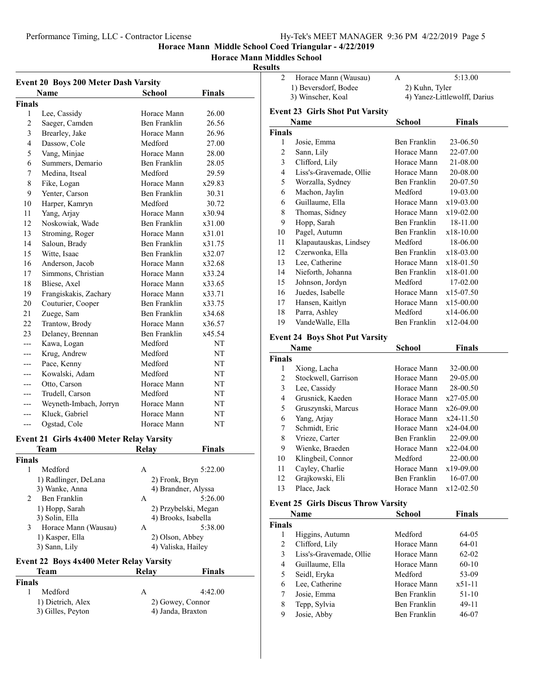## **Horace Mann Middles School**

## **Results**

| <b>Event 20 Boys 200 Meter Dash Varsity</b> |                        |               |        |
|---------------------------------------------|------------------------|---------------|--------|
|                                             | Name                   | <b>School</b> | Finals |
| Finals                                      |                        |               |        |
| 1                                           | Lee, Cassidy           | Horace Mann   | 26.00  |
| $\overline{c}$                              | Saeger, Camden         | Ben Franklin  | 26.56  |
| 3                                           | Brearley, Jake         | Horace Mann   | 26.96  |
| $\overline{4}$                              | Dassow, Cole           | Medford       | 27.00  |
| 5                                           | Vang, Minjae           | Horace Mann   | 28.00  |
| 6                                           | Summers, Demario       | Ben Franklin  | 28.05  |
| 7                                           | Medina, Itseal         | Medford       | 29.59  |
| 8                                           | Fike, Logan            | Horace Mann   | x29.83 |
| 9                                           | Yenter, Carson         | Ben Franklin  | 30.31  |
| 10                                          | Harper, Kamryn         | Medford       | 30.72  |
| 11                                          | Yang, Arjay            | Horace Mann   | x30.94 |
| 12                                          | Noskowiak, Wade        | Ben Franklin  | x31.00 |
| 13                                          | Stroming, Roger        | Horace Mann   | x31.01 |
| 14                                          | Saloun, Brady          | Ben Franklin  | x31.75 |
| 15                                          | Witte, Isaac           | Ben Franklin  | x32.07 |
| 16                                          | Anderson, Jacob        | Horace Mann   | x32.68 |
| 17                                          | Simmons, Christian     | Horace Mann   | x33.24 |
| 18                                          | Bliese, Axel           | Horace Mann   | x33.65 |
| 19                                          | Frangiskakis, Zachary  | Horace Mann   | x33.71 |
| 20                                          | Couturier, Cooper      | Ben Franklin  | x33.75 |
| 21                                          | Zuege, Sam             | Ben Franklin  | x34.68 |
| 22                                          | Trantow, Brody         | Horace Mann   | x36.57 |
| 23                                          | Delaney, Brennan       | Ben Franklin  | x45.54 |
| $-$ -                                       | Kawa, Logan            | Medford       | NT     |
| ---                                         | Krug, Andrew           | Medford       | NT     |
| ---                                         | Pace, Kenny            | Medford       | NT     |
| ---                                         | Kowalski, Adam         | Medford       | NT     |
| ---                                         | Otto, Carson           | Horace Mann   | NT     |
| ---                                         | Trudell, Carson        | Medford       | NT     |
| ---                                         | Weyneth-Imbach, Jorryn | Horace Mann   | NT     |
|                                             | Kluck, Gabriel         | Horace Mann   | NT     |
| $---$                                       | Ogstad, Cole           | Horace Mann   | NT     |

#### **Event 21 Girls 4x400 Meter Relay Varsity**

| Relav | <b>Finals</b>        |
|-------|----------------------|
|       |                      |
| A     | 5:22.00              |
|       |                      |
|       | 4) Brandner, Alyssa  |
| A     | 5:26.00              |
|       | 2) Przybelski, Megan |
|       | 4) Brooks, Isabella  |
| A     | 5:38.00              |
|       | 2) Olson, Abbey      |
|       | 4) Valiska, Hailey   |
|       | 2) Fronk, Bryn       |

## **Event 22 Boys 4x400 Meter Relay Varsity**

## **Team Relay Finals Finals** 1 Medford A 4:42.00 1) Dietrich, Alex 2) Gowey, Connor 3) Gilles, Peyton 4) Janda, Braxton

2 Horace Mann (Wausau) A 5:13.00 1) Beversdorf, Bodee 2) Kuhn, Tyler<br>
2) Winscher, Koal 4) Yanez-Little 4) Yanez-Littlewolff, Darius **Event 23 Girls Shot Put Varsity**

|        | Name                    | School       | Finals      |  |
|--------|-------------------------|--------------|-------------|--|
| Finals |                         |              |             |  |
| 1      | Josie, Emma             | Ben Franklin | 23-06.50    |  |
| 2      | Sann, Lily              | Horace Mann  | 22-07.00    |  |
| 3      | Clifford, Lily          | Horace Mann  | 21-08.00    |  |
| 4      | Liss's-Gravemade, Ollie | Horace Mann  | 20-08.00    |  |
| 5      | Worzalla, Sydney        | Ben Franklin | 20-07.50    |  |
| 6      | Machon, Jaylin          | Medford      | 19-03.00    |  |
| 6      | Guillaume, Ella         | Horace Mann  | x19-03.00   |  |
| 8      | Thomas, Sidney          | Horace Mann  | $x19-02.00$ |  |
| 9      | Hopp, Sarah             | Ben Franklin | 18-11.00    |  |
| 10     | Pagel, Autumn           | Ben Franklin | x18-10.00   |  |
| 11     | Klapautauskas, Lindsey  | Medford      | 18-06.00    |  |
| 12     | Czerwonka, Ella         | Ben Franklin | x18-03.00   |  |
| 13     | Lee, Catherine          | Horace Mann  | x18-01.50   |  |
| 14     | Nieforth, Johanna       | Ben Franklin | x18-01.00   |  |
| 15     | Johnson, Jordyn         | Medford      | 17-02.00    |  |
| 16     | Juedes, Isabelle        | Horace Mann  | x15-07.50   |  |
| 17     | Hansen, Kaitlyn         | Horace Mann  | x15-00.00   |  |
| 18     | Parra, Ashley           | Medford      | $x14-06.00$ |  |
| 19     | VandeWalle, Ella        | Ben Franklin | x12-04.00   |  |

#### **Event 24 Boys Shot Put Varsity**

|               | Name                | <b>School</b> | <b>Finals</b> |  |
|---------------|---------------------|---------------|---------------|--|
| <b>Finals</b> |                     |               |               |  |
| 1             | Xiong, Lacha        | Horace Mann   | 32-00.00      |  |
| 2             | Stockwell, Garrison | Horace Mann   | 29-05.00      |  |
| 3             | Lee, Cassidy        | Horace Mann   | 28-00.50      |  |
| 4             | Grusnick, Kaeden    | Horace Mann   | $x27-05.00$   |  |
| 5             | Gruszynski, Marcus  | Horace Mann   | $x26-09.00$   |  |
| 6             | Yang, Arjay         | Horace Mann   | $x24-11.50$   |  |
| 7             | Schmidt, Eric       | Horace Mann   | x24-04.00     |  |
| 8             | Vrieze, Carter      | Ben Franklin  | 22-09.00      |  |
| 9             | Wienke, Braeden     | Horace Mann   | $x22-04.00$   |  |
| 10            | Klingbeil, Connor   | Medford       | 22-00.00      |  |
| 11            | Cayley, Charlie     | Horace Mann   | x19-09.00     |  |
| 12            | Grajkowski, Eli     | Ben Franklin  | 16-07.00      |  |
| 13            | Place, Jack         | Horace Mann   | $x12-02.50$   |  |
|               |                     |               |               |  |

## **Event 25 Girls Discus Throw Varsity**

| Name          |                         | School       | Finals    |  |
|---------------|-------------------------|--------------|-----------|--|
| <b>Finals</b> |                         |              |           |  |
| 1             | Higgins, Autumn         | Medford      | 64-05     |  |
| 2             | Clifford, Lily          | Horace Mann  | 64-01     |  |
| 3             | Liss's-Gravemade, Ollie | Horace Mann  | $62 - 02$ |  |
| 4             | Guillaume, Ella         | Horace Mann  | $60-10$   |  |
| 5             | Seidl, Eryka            | Medford      | 53-09     |  |
| 6             | Lee, Catherine          | Horace Mann  | $x51-11$  |  |
| 7             | Josie, Emma             | Ben Franklin | 51-10     |  |
| 8             | Tepp, Sylvia            | Ben Franklin | 49-11     |  |
| 9             | Josie, Abby             | Ben Franklin | 46-07     |  |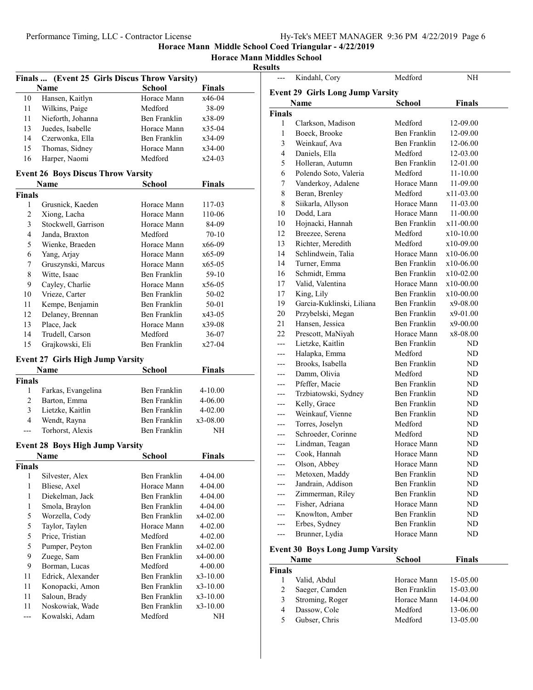**Horace Mann Middles School**

**Results**

|                      | Finals  (Event 25 Girls Discus Throw Varsity) |                                     |                |  |
|----------------------|-----------------------------------------------|-------------------------------------|----------------|--|
|                      | Name                                          | <b>School</b>                       | Finals         |  |
| 10                   | Hansen, Kaitlyn                               | Horace Mann                         | x46-04         |  |
| 11                   | Wilkins, Paige                                | Medford                             | 38-09          |  |
| 11                   | Nieforth, Johanna                             | Ben Franklin                        | x38-09         |  |
| 13                   | Juedes, Isabelle                              | Horace Mann                         | x35-04         |  |
| 14                   | Czerwonka, Ella                               | Ben Franklin                        | x34-09         |  |
| 15                   | Thomas, Sidney                                | Horace Mann                         | x34-00         |  |
| 16                   | Harper, Naomi                                 | Medford                             | $x24-03$       |  |
|                      |                                               |                                     |                |  |
|                      | <b>Event 26 Boys Discus Throw Varsity</b>     |                                     |                |  |
|                      | Name                                          | <b>School</b>                       | Finals         |  |
| <b>Finals</b>        |                                               |                                     |                |  |
| 1                    | Grusnick, Kaeden                              | Horace Mann                         | 117-03         |  |
| 2                    | Xiong, Lacha                                  | Horace Mann                         | 110-06         |  |
| 3                    | Stockwell, Garrison                           | Horace Mann                         | 84-09          |  |
| 4                    | Janda, Braxton                                | Medford                             | 70-10          |  |
| 5                    | Wienke, Braeden                               | Horace Mann                         | x66-09         |  |
| 6                    | Yang, Arjay                                   | Horace Mann                         | $x65-09$       |  |
| 7                    | Gruszynski, Marcus                            | Horace Mann                         | $x65-05$       |  |
| 8                    | Witte, Isaac                                  | Ben Franklin                        | 59-10          |  |
| 9                    | Cayley, Charlie                               | Horace Mann                         | x56-05         |  |
| 10                   | Vrieze, Carter                                | Ben Franklin                        | 50-02          |  |
| 11                   | Kempe, Benjamin                               | Ben Franklin                        | 50-01          |  |
| 12                   | Delaney, Brennan                              | Ben Franklin                        | x43-05         |  |
| 13                   | Place, Jack                                   | Horace Mann                         | x39-08         |  |
| 14                   | Trudell, Carson                               | Medford                             | 36-07          |  |
| 15                   | Grajkowski, Eli                               | Ben Franklin                        | x27-04         |  |
|                      | <b>Event 27 Girls High Jump Varsity</b>       |                                     |                |  |
|                      | Name                                          | <b>School</b>                       | Finals         |  |
| <b>Finals</b>        |                                               |                                     |                |  |
| 1                    | Farkas, Evangelina                            | Ben Franklin                        | 4-10.00        |  |
| 2                    |                                               |                                     |                |  |
|                      |                                               | Ben Franklin                        | 4-06.00        |  |
| 3                    | Barton, Emma                                  | Ben Franklin                        | $4 - 02.00$    |  |
| 4                    | Lietzke, Kaitlin                              |                                     | x3-08.00       |  |
| ---                  | Wendt, Rayna                                  | Ben Franklin<br><b>Ben Franklin</b> | NH             |  |
|                      | Torhorst, Alexis                              |                                     |                |  |
|                      | <b>Event 28 Boys High Jump Varsity</b>        |                                     |                |  |
|                      | Name                                          | School                              | Finals         |  |
| <b>Finals</b>        |                                               |                                     |                |  |
| 1                    | Silvester, Alex                               | Ben Franklin                        | 4-04.00        |  |
| 1                    | Bliese, Axel                                  | Horace Mann                         | 4-04.00        |  |
| 1                    | Diekelman, Jack                               | Ben Franklin                        | 4-04.00        |  |
| 1                    | Smola, Braylon                                | Ben Franklin                        | 4-04.00        |  |
| 5                    | Worzella, Cody                                | Ben Franklin                        | x4-02.00       |  |
| 5                    | Taylor, Taylen                                | Horace Mann                         | 4-02.00        |  |
| 5                    | Price, Tristian                               | Medford                             | 4-02.00        |  |
| 5                    | Pumper, Peyton                                | Ben Franklin                        | x4-02.00       |  |
| 9                    | Zuege, Sam                                    | <b>Ben Franklin</b>                 | x4-00.00       |  |
| 9                    | Borman, Lucas                                 | Medford                             | 4-00.00        |  |
| 11                   | Edrick, Alexander                             | <b>Ben Franklin</b>                 | x3-10.00       |  |
| 11                   | Konopacki, Amon                               | Ben Franklin                        | x3-10.00       |  |
| 11                   | Saloun, Brady                                 | Ben Franklin                        | x3-10.00       |  |
| 11<br>$\overline{a}$ | Noskowiak, Wade<br>Kowalski, Adam             | Ben Franklin<br>Medford             | x3-10.00<br>NH |  |

| ---           | Kindahl, Cory                           | Medford      | NH            |  |
|---------------|-----------------------------------------|--------------|---------------|--|
|               | <b>Event 29 Girls Long Jump Varsity</b> |              |               |  |
|               | Name                                    | School       | <b>Finals</b> |  |
| <b>Finals</b> |                                         |              |               |  |
| 1             | Clarkson, Madison                       | Medford      | 12-09.00      |  |
| 1             | Boeck, Brooke                           | Ben Franklin | 12-09.00      |  |
| 3             | Weinkauf, Ava                           | Ben Franklin | 12-06.00      |  |
| 4             | Daniels, Ella                           | Medford      | 12-03.00      |  |
| 5             | Holleran, Autumn                        | Ben Franklin | 12-01.00      |  |
| 6             | Polendo Soto, Valeria                   | Medford      | 11-10.00      |  |
| 7             | Vanderkoy, Adalene                      | Horace Mann  | 11-09.00      |  |
| 8             | Beran, Brenley                          | Medford      | x11-03.00     |  |
| 8             | Siikarla, Allyson                       | Horace Mann  | 11-03.00      |  |
| 10            | Dodd, Lara                              | Horace Mann  | 11-00.00      |  |
| 10            | Hojnacki, Hannah                        | Ben Franklin | x11-00.00     |  |
| 12            | Breezee, Serena                         | Medford      | x10-10.00     |  |
| 13            | Richter, Meredith                       | Medford      | x10-09.00     |  |
| 14            | Schlindwein, Talia                      | Horace Mann  | $x10-06.00$   |  |
| 14            | Turner, Emma                            | Ben Franklin | x10-06.00     |  |
| 16            | Schmidt, Emma                           | Ben Franklin | x10-02.00     |  |
| 17            | Valid, Valentina                        | Horace Mann  | x10-00.00     |  |
| 17            | King, Lily                              | Ben Franklin | x10-00.00     |  |
| 19            | Garcia-Kuklinski, Liliana               | Ben Franklin | x9-08.00      |  |
| 20            | Przybelski, Megan                       | Ben Franklin | x9-01.00      |  |
| 21            | Hansen, Jessica                         | Ben Franklin | x9-00.00      |  |
| 22            | Prescott, MaNiyah                       | Horace Mann  | x8-08.00      |  |
| ---           | Lietzke, Kaitlin                        | Ben Franklin | ND            |  |
| $---$         | Halapka, Emma                           | Medford      | ND            |  |
| ---           | Brooks, Isabella                        | Ben Franklin | ND            |  |
| ---           | Damm, Olivia                            | Medford      | ND            |  |
| ---           | Pfeffer, Macie                          | Ben Franklin | ND            |  |
| ---           | Trzbiatowski, Sydney                    | Ben Franklin | ND            |  |
| ---           | Kelly, Grace                            | Ben Franklin | ND            |  |
| ---           | Weinkauf, Vienne                        | Ben Franklin | ND            |  |
| ---           | Torres, Joselyn                         | Medford      | ND            |  |
| ---           | Schroeder, Corinne                      | Medford      | ND            |  |
| ---           | Lindman, Teagan                         | Horace Mann  | ND            |  |
| ---           | Cook, Hannah                            | Horace Mann  | ND            |  |
| ---           | Olson, Abbey                            | Horace Mann  | ND            |  |
| ---           | Metoxen, Maddy                          | Ben Franklin | ND            |  |
| ---           | Jandrain, Addison                       | Ben Franklin | ND            |  |
| ---           | Zimmerman, Riley                        | Ben Franklin | ND            |  |
| ---           | Fisher, Adriana                         | Horace Mann  | ND            |  |
| ---           | Knowlton, Amber                         | Ben Franklin | ND            |  |
| ---           | Erbes, Sydney                           | Ben Franklin | ND            |  |
| ---           | Brunner, Lydia                          | Horace Mann  | ND            |  |

#### **Event 30 Boys Long Jump Varsity**

| Name          |                 | <b>School</b> | <b>Finals</b> |  |  |  |
|---------------|-----------------|---------------|---------------|--|--|--|
| <b>Finals</b> |                 |               |               |  |  |  |
|               | Valid, Abdul    | Horace Mann   | 15-05.00      |  |  |  |
| 2             | Saeger, Camden  | Ben Franklin  | 15-03.00      |  |  |  |
| 3             | Stroming, Roger | Horace Mann   | $14-04.00$    |  |  |  |
| 4             | Dassow, Cole    | Medford       | 13-06.00      |  |  |  |
| 5             | Gubser, Chris   | Medford       | 13-05.00      |  |  |  |